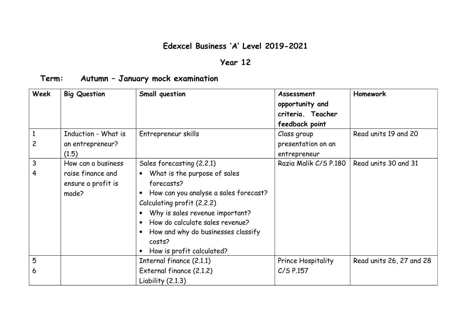## **Edexcel Business 'A' Level 2019-2021**

## **Year 12**

## **Term: Autumn – January mock examination**

| Week                           | <b>Big Question</b>                                                    | Small question                                                                                                                                                                                                                                                                                                              | Assessment<br>opportunity and<br>criteria. Teacher<br>feedback point | Homework                 |
|--------------------------------|------------------------------------------------------------------------|-----------------------------------------------------------------------------------------------------------------------------------------------------------------------------------------------------------------------------------------------------------------------------------------------------------------------------|----------------------------------------------------------------------|--------------------------|
| $\mathbf{1}$<br>$\overline{c}$ | Induction - What is<br>an entrepreneur?<br>(1.5)                       | Entrepreneur skills                                                                                                                                                                                                                                                                                                         | Class group<br>presentation on an<br>entrepreneur                    | Read units 19 and 20     |
| 3<br>4                         | How can a business<br>raise finance and<br>ensure a profit is<br>made? | Sales forecasting (2.2.1)<br>What is the purpose of sales<br>$\bullet$<br>forecasts?<br>How can you analyse a sales forecast?<br>Calculating profit (2.2.2)<br>Why is sales revenue important?<br>How do calculate sales revenue?<br>How and why do businesses classify<br>$\bullet$<br>costs?<br>How is profit calculated? | Razia Malik C/S P.180                                                | Read units 30 and 31     |
| 5                              |                                                                        | Internal finance (2.1.1)                                                                                                                                                                                                                                                                                                    | Prince Hospitality                                                   | Read units 26, 27 and 28 |
| 6                              |                                                                        | External finance (2.1.2)<br>Liability $(2.1.3)$                                                                                                                                                                                                                                                                             | $C/S$ P.157                                                          |                          |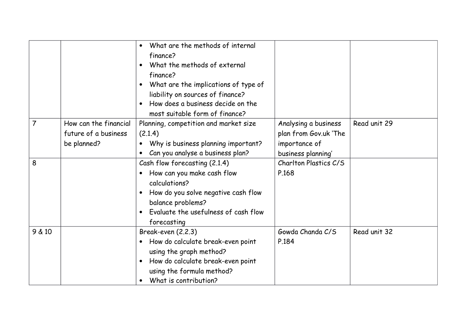|                |                                                              | What are the methods of internal<br>finance?<br>What the methods of external<br>$\bullet$<br>finance?<br>What are the implications of type of<br>liability on sources of finance?<br>How does a business decide on the<br>most suitable form of finance? |                                                                                      |              |
|----------------|--------------------------------------------------------------|----------------------------------------------------------------------------------------------------------------------------------------------------------------------------------------------------------------------------------------------------------|--------------------------------------------------------------------------------------|--------------|
| $\overline{7}$ | How can the financial<br>future of a business<br>be planned? | Planning, competition and market size<br>(2.1.4)<br>Why is business planning important?<br>Can you analyse a business plan?<br>$\bullet$                                                                                                                 | Analysing a business<br>plan from Gov.uk 'The<br>importance of<br>business planning' | Read unit 29 |
| 8              |                                                              | Cash flow forecasting (2.1.4)<br>How can you make cash flow<br>calculations?<br>How do you solve negative cash flow<br>balance problems?<br>Evaluate the usefulness of cash flow<br>forecasting                                                          | Charlton Plastics C/S<br>P.168                                                       |              |
| 9 & 10         |                                                              | Break-even (2.2.3)<br>How do calculate break-even point<br>using the graph method?<br>How do calculate break-even point<br>using the formula method?<br>What is contribution?<br>$\bullet$                                                               | Gowda Chanda C/S<br>P.184                                                            | Read unit 32 |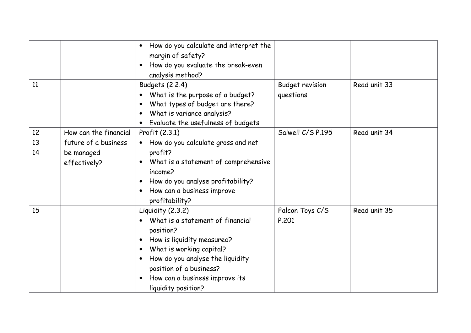| 11 |                       | How do you calculate and interpret the<br>$\bullet$<br>margin of safety?<br>How do you evaluate the break-even<br>$\bullet$<br>analysis method?                                                                                                                                     |                                     | Read unit 33 |
|----|-----------------------|-------------------------------------------------------------------------------------------------------------------------------------------------------------------------------------------------------------------------------------------------------------------------------------|-------------------------------------|--------------|
|    |                       | Budgets (2.2.4)<br>What is the purpose of a budget?<br>What types of budget are there?<br>$\bullet$<br>What is variance analysis?<br>Evaluate the usefulness of budgets<br>$\bullet$                                                                                                | <b>Budget revision</b><br>questions |              |
| 12 | How can the financial | Profit (2.3.1)                                                                                                                                                                                                                                                                      | Salwell C/S P.195                   | Read unit 34 |
| 13 | future of a business  | How do you calculate gross and net<br>$\bullet$                                                                                                                                                                                                                                     |                                     |              |
| 14 | be managed            | profit?                                                                                                                                                                                                                                                                             |                                     |              |
|    | effectively?          | What is a statement of comprehensive<br>$\bullet$<br>income?<br>How do you analyse profitability?<br>$\bullet$<br>How can a business improve<br>$\bullet$<br>profitability?                                                                                                         |                                     |              |
| 15 |                       | Liquidity (2.3.2)                                                                                                                                                                                                                                                                   | Falcon Toys C/S                     | Read unit 35 |
|    |                       | What is a statement of financial<br>position?<br>How is liquidity measured?<br>$\bullet$<br>What is working capital?<br>$\bullet$<br>How do you analyse the liquidity<br>$\bullet$<br>position of a business?<br>How can a business improve its<br>$\bullet$<br>liquidity position? | P.201                               |              |